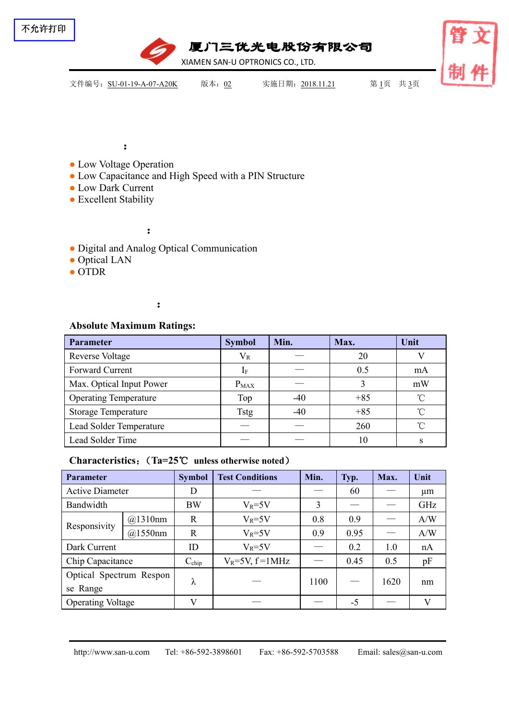

:

- Low Voltage Operation
- Low Capacitance and High Speed with a PIN Structure
- Low Dark Current
- Excellent Stability

:

- Digital and Analog Optical Communication
- Optical LAN
- OTDR

# :

## **Absolute Maximum Ratings:**

| Parameter                    | <b>Symbol</b> | Min.  | Max.  | Unit       |
|------------------------------|---------------|-------|-------|------------|
| <b>Reverse Voltage</b>       | $V_{R}$       |       | 20    |            |
| Forward Current              |               |       | 0.5   | mA         |
| Max. Optical Input Power     | $P_{MAX}$     |       |       | mW         |
| <b>Operating Temperature</b> | Top           | $-40$ | $+85$ | °∩°        |
| <b>Storage Temperature</b>   | <b>Tstg</b>   | $-40$ | $+85$ | ົ          |
| Lead Solder Temperature      |               |       | 260   | $^{\circ}$ |
| Lead Solder Time             |               |       | 10    |            |

## **Characteristics**:(**Ta=25**℃ **unless otherwise noted**)

| <b>Parameter</b>         |         | <b>Symbol</b>     | <b>Test Conditions</b>  | Min.        | Typ.              | Max.    | Unit |  |
|--------------------------|---------|-------------------|-------------------------|-------------|-------------------|---------|------|--|
| <b>Active Diameter</b>   |         | D                 |                         | 60          |                   | $\mu$ m |      |  |
| Bandwidth                |         | <b>BW</b>         | $V_R = 5V$              | 3           |                   |         | GHz  |  |
| Responsivity             | @1310nm | R                 | $V_R = 5V$              | 0.8         | 0.9               |         | A/W  |  |
|                          | @1550nm | $\mathbf R$       | $V_R = 5V$              | 0.95<br>0.9 |                   | A/W     |      |  |
| Dark Current             |         | ID                | $V_R = 5V$              |             | 0.2               | 1.0     | nA   |  |
| Chip Capacitance         |         | $C_{\text{chip}}$ | $V_R = 5V$ , $f = 1MHz$ |             | 0.45              | 0.5     | pF   |  |
| Optical Spectrum Respon  |         |                   |                         | 1100        | $\hspace{0.05cm}$ | 1620    |      |  |
| se Range                 |         | ⋏                 |                         |             |                   | nm      |      |  |
| <b>Operating Voltage</b> |         | $\mathbf{V}$      |                         |             | $-5$              |         | V    |  |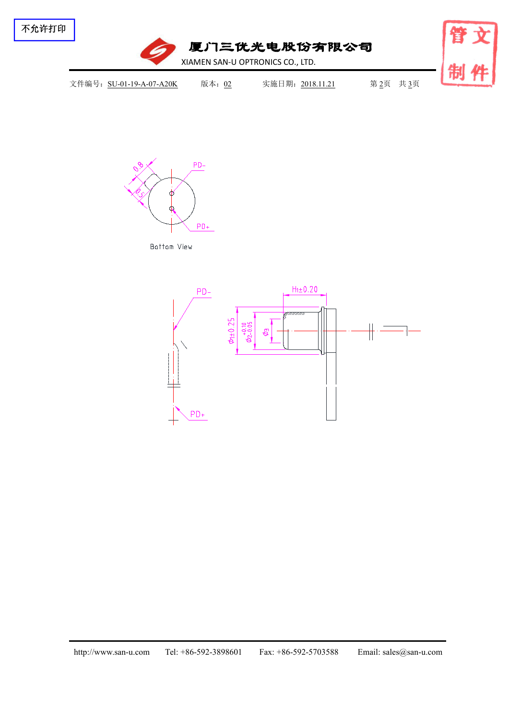



Bottom View